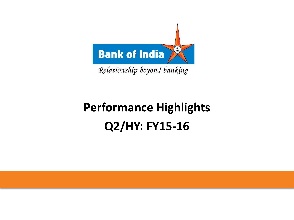

Relationship beyond banking

# **Performance Highlights Q2/HY: FY15-16**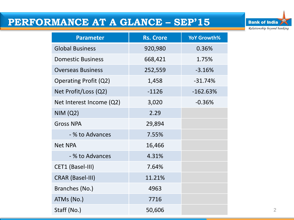### **PERFORMANCE AT A GLANCE – SEP'15**



| <b>Parameter</b>         | <b>Rs. Crore</b> | YoY Growth% |
|--------------------------|------------------|-------------|
| <b>Global Business</b>   | 920,980          | 0.36%       |
| <b>Domestic Business</b> | 668,421          | 1.75%       |
| <b>Overseas Business</b> | 252,559          | $-3.16%$    |
| Operating Profit (Q2)    | 1,458            | $-31.74%$   |
| Net Profit/Loss (Q2)     | $-1126$          | $-162.63%$  |
| Net Interest Income (Q2) | 3,020            | $-0.36%$    |
| <b>NIM (Q2)</b>          | 2.29             |             |
| <b>Gross NPA</b>         | 29,894           |             |
| - % to Advances          | 7.55%            |             |
| <b>Net NPA</b>           | 16,466           |             |
| - % to Advances          | 4.31%            |             |
| CET1 (Basel-III)         | 7.64%            |             |
| <b>CRAR (Basel-III)</b>  | 11.21%           |             |
| Branches (No.)           | 4963             |             |
| ATMs (No.)               | 7716             |             |
| Staff (No.)              | 50,606           |             |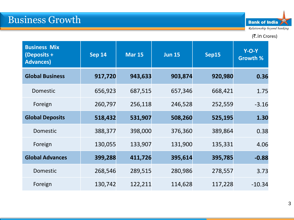

#### (そ.in Crores)

| <b>Business Mix</b><br>$\sqrt{\frac{2}{1}}$<br><b>Advances</b> ) | <b>Sep 14</b> | <b>Mar 15</b> | <b>Jun 15</b> | Sep15   | $Y-O-Y$<br><b>Growth %</b> |
|------------------------------------------------------------------|---------------|---------------|---------------|---------|----------------------------|
| <b>Global Business</b>                                           | 917,720       | 943,633       | 903,874       | 920,980 | 0.36                       |
| <b>Domestic</b>                                                  | 656,923       | 687,515       | 657,346       | 668,421 | 1.75                       |
| Foreign                                                          | 260,797       | 256,118       | 246,528       | 252,559 | $-3.16$                    |
| <b>Global Deposits</b>                                           | 518,432       | 531,907       | 508,260       | 525,195 | 1.30                       |
| Domestic                                                         | 388,377       | 398,000       | 376,360       | 389,864 | 0.38                       |
| Foreign                                                          | 130,055       | 133,907       | 131,900       | 135,331 | 4.06                       |
| <b>Global Advances</b>                                           | 399,288       | 411,726       | 395,614       | 395,785 | $-0.88$                    |
| Domestic                                                         | 268,546       | 289,515       | 280,986       | 278,557 | 3.73                       |
| Foreign                                                          | 130,742       | 122,211       | 114,628       | 117,228 | $-10.34$                   |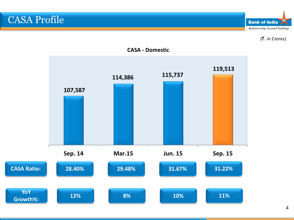CASA Profile

**Bank of India** Relationship beyond banking

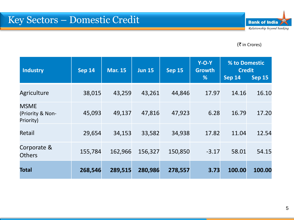#### (そ in Crores)

| <b>Industry</b>                              | <b>Sep 14</b> | <b>Mar. 15</b> | <b>Jun 15</b> | <b>Sep 15</b> | $Y-O-Y$<br><b>Growth</b><br>% | % to Domestic<br><b>Credit</b><br><b>Sep 14</b> | <b>Sep 15</b> |
|----------------------------------------------|---------------|----------------|---------------|---------------|-------------------------------|-------------------------------------------------|---------------|
| Agriculture                                  | 38,015        | 43,259         | 43,261        | 44,846        | 17.97                         | 14.16                                           | 16.10         |
| <b>MSME</b><br>(Priority & Non-<br>Priority) | 45,093        | 49,137         | 47,816        | 47,923        | 6.28                          | 16.79                                           | 17.20         |
| Retail                                       | 29,654        | 34,153         | 33,582        | 34,938        | 17.82                         | 11.04                                           | 12.54         |
| Corporate &<br><b>Others</b>                 | 155,784       | 162,966        | 156,327       | 150,850       | $-3.17$                       | 58.01                                           | 54.15         |
| Total                                        | 268,546       | 289,515        | 280,986       | 278,557       | 3.73                          | 100.00                                          | 100.00        |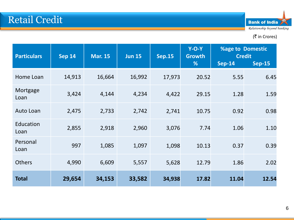

| <b>Particulars</b> | <b>Sep 14</b> | <b>Mar. 15</b> | <b>Jun 15</b> | <b>Sep.15</b> | $Y-O-Y$<br><b>Growth</b><br>% | <b>%age to Domestic</b><br><b>Credit</b><br><b>Sep-14</b> | <b>Sep-15</b> |
|--------------------|---------------|----------------|---------------|---------------|-------------------------------|-----------------------------------------------------------|---------------|
|                    |               |                |               |               |                               |                                                           |               |
| Home Loan          | 14,913        | 16,664         | 16,992        | 17,973        | 20.52                         | 5.55                                                      | 6.45          |
| Mortgage<br>Loan   | 3,424         | 4,144          | 4,234         | 4,422         | 29.15                         | 1.28                                                      | 1.59          |
| Auto Loan          | 2,475         | 2,733          | 2,742         | 2,741         | 10.75                         | 0.92                                                      | 0.98          |
| Education<br>Loan  | 2,855         | 2,918          | 2,960         | 3,076         | 7.74                          | 1.06                                                      | 1.10          |
| Personal<br>Loan   | 997           | 1,085          | 1,097         | 1,098         | 10.13                         | 0.37                                                      | 0.39          |
| <b>Others</b>      | 4,990         | 6,609          | 5,557         | 5,628         | 12.79                         | 1.86                                                      | 2.02          |
| <b>Total</b>       | 29,654        | 34,153         | 33,582        | 34,938        | 17.82                         | 11.04                                                     | 12.54         |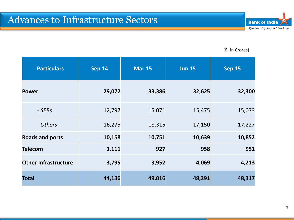

| <b>Particulars</b>          | <b>Sep 14</b> | <b>Mar 15</b> | <b>Jun 15</b><br><b>Sep 15</b> |        |
|-----------------------------|---------------|---------------|--------------------------------|--------|
| <b>Power</b>                | 29,072        | 33,386        | 32,625                         | 32,300 |
| - SEBs                      | 12,797        | 15,071        | 15,475                         | 15,073 |
| - Others                    | 16,275        | 18,315        | 17,150                         | 17,227 |
| <b>Roads and ports</b>      | 10,158        | 10,751        | 10,639                         | 10,852 |
| <b>Telecom</b>              | 1,111         | 927           | 958                            | 951    |
| <b>Other Infrastructure</b> | 3,795         | 3,952         | 4,069                          | 4,213  |
| <b>Total</b>                | 44,136        | 49,016        | 48,291                         | 48,317 |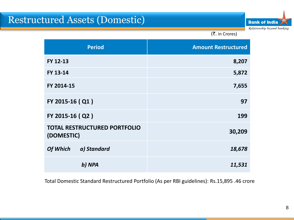# Restructured Assets (Domestic)

**Bank of India** Relationship beyond banking

(そ. in Crores)

| <b>Period</b>                                     | <b>Amount Restructured</b> |
|---------------------------------------------------|----------------------------|
| FY 12-13                                          | 8,207                      |
| FY 13-14                                          | 5,872                      |
| FY 2014-15                                        | 7,655                      |
| FY 2015-16 (Q1)                                   | 97                         |
| FY 2015-16 (Q2)                                   | 199                        |
| <b>TOTAL RESTRUCTURED PORTFOLIO</b><br>(DOMESTIC) | 30,209                     |
| Of Which<br>a) Standard                           | 18,678                     |
| b) NPA                                            | 11,531                     |

Total Domestic Standard Restructured Portfolio (As per RBI guidelines): Rs.15,895 .46 crore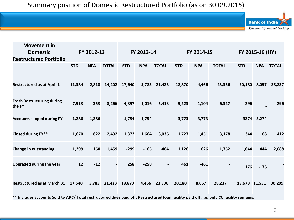| <b>Movement in</b><br><b>Domestic</b><br><b>Restructured Portfolio</b> | FY 2012-13 |            | FY 2013-14               |            | FY 2014-15 |                | FY 2015-16 (HY) |            |                |               |               |              |
|------------------------------------------------------------------------|------------|------------|--------------------------|------------|------------|----------------|-----------------|------------|----------------|---------------|---------------|--------------|
|                                                                        | <b>STD</b> | <b>NPA</b> | <b>TOTAL</b>             | <b>STD</b> | <b>NPA</b> | <b>TOTAL</b>   | <b>STD</b>      | <b>NPA</b> | <b>TOTAL</b>   | <b>STD</b>    | <b>NPA</b>    | <b>TOTAL</b> |
| <b>Restructured as at April 1</b>                                      | 11,384     | 2,818      | 14,202                   | 17,640     | 3,783      | 21,423         | 18,870          | 4,466      | 23,336         | 20,180        | 8,057         | 28,237       |
| <b>Fresh Restructuring during</b><br>the FY                            | 7,913      | 353        | 8,266                    | 4,397      | 1,016      | 5,413          | 5,223           | 1,104      | 6,327          | 296           |               | 296          |
| <b>Accounts slipped during FY</b>                                      | $-1,286$   | 1,286      | $\sim$                   | $-1,754$   | 1,754      | $\blacksquare$ | $-3,773$        | 3,773      | $\overline{a}$ |               | $-3274$ 3,274 |              |
| Closed during FY**                                                     | 1,670      | 822        | 2,492                    | 1,372      | 1,664      | 3,036          | 1,727           | 1,451      | 3,178          | 344           | 68            | 412          |
| <b>Change in outstanding</b>                                           | 1,299      | 160        | 1,459                    | $-299$     | $-165$     | $-464$         | 1,126           | 626        | 1,752          | 1,644         | 444           | 2,088        |
| <b>Upgraded during the year</b>                                        | 12         | $-12$      | $\overline{\phantom{a}}$ | 258        | $-258$     | $\blacksquare$ | 461             | $-461$     |                | 176           | $-176$        |              |
| <b>Restructured as at March 31</b>                                     | 17,640     | 3,783      | 21,423                   | 18,870     | 4,466      | 23,336         | 20,180          | 8,057      | 28,237         | 18,678 11,531 |               | 30,209       |

**\*\* Includes accounts Sold to ARC/ Total restructured dues paid off, Restructured loan facility paid off .i.e. only CC facility remains.**

**Bank of India** 

Relationship beyond banking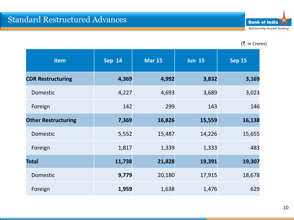| <b>Item</b>                | <b>Sep 14</b> | <b>Mar 15</b> | <b>Jun 15</b> | <b>Sep 15</b> |
|----------------------------|---------------|---------------|---------------|---------------|
| <b>CDR Restructuring</b>   | 4,369         | 4,992         | 3,832         | 3,169         |
| Domestic                   | 4,227         | 4,693         | 3,689         | 3,023         |
| Foreign                    | 142           | 299           | 143           | 146           |
| <b>Other Restructuring</b> | 7,369         | 16,826        | 15,559        | 16,138        |
| Domestic                   | 5,552         | 15,487        | 14,226        | 15,655        |
| Foreign                    | 1,817         | 1,339         | 1,333         | 483           |
| <b>Total</b>               | 11,738        | 21,828        | 19,391        | 19,307        |
| Domestic                   | 9,779         | 20,180        | 17,915        | 18,678        |
| Foreign                    | 1,959         | 1,638         | 1,476         | 629           |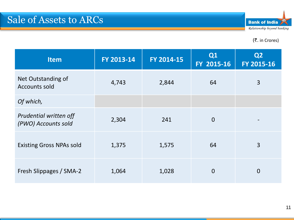

| <b>Item</b>                                   | FY 2013-14 | FY 2014-15 | Q1<br>FY 2015-16 | Q <sub>2</sub><br>FY 2015-16 |
|-----------------------------------------------|------------|------------|------------------|------------------------------|
| Net Outstanding of<br>Accounts sold           | 4,743      | 2,844      | 64               | 3                            |
| Of which,                                     |            |            |                  |                              |
| Prudential written off<br>(PWO) Accounts sold | 2,304      | 241        | $\overline{0}$   |                              |
| <b>Existing Gross NPAs sold</b>               | 1,375      | 1,575      | 64               | 3                            |
| Fresh Slippages / SMA-2                       | 1,064      | 1,028      | $\overline{0}$   | $\overline{0}$               |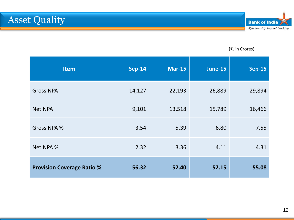| <b>Item</b>                       | <b>Sep-14</b> | <b>Mar-15</b> | <b>June-15</b> | <b>Sep-15</b> |
|-----------------------------------|---------------|---------------|----------------|---------------|
| <b>Gross NPA</b>                  | 14,127        | 22,193        | 26,889         | 29,894        |
| <b>Net NPA</b>                    | 9,101         | 13,518        | 15,789         | 16,466        |
| Gross NPA %                       | 3.54          | 5.39          | 6.80           | 7.55          |
| Net NPA %                         | 2.32          | 3.36          | 4.11           | 4.31          |
| <b>Provision Coverage Ratio %</b> | 56.32         | 52.40         | 52.15          | 55.08         |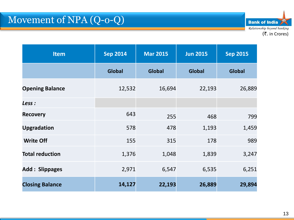**Bank of India** Relationship beyond banking (₹. in Crores)

| <b>Item</b>            | <b>Sep 2014</b> | <b>Mar 2015</b> | <b>Jun 2015</b> | <b>Sep 2015</b> |
|------------------------|-----------------|-----------------|-----------------|-----------------|
|                        | <b>Global</b>   | <b>Global</b>   | <b>Global</b>   | <b>Global</b>   |
| <b>Opening Balance</b> | 12,532          | 16,694          | 22,193          | 26,889          |
| Less :                 |                 |                 |                 |                 |
| <b>Recovery</b>        | 643             | 255             | 468             | 799             |
| <b>Upgradation</b>     | 578             | 478             | 1,193           | 1,459           |
| <b>Write Off</b>       | 155             | 315             | 178             | 989             |
| <b>Total reduction</b> | 1,376           | 1,048           | 1,839           | 3,247           |
| <b>Add: Slippages</b>  | 2,971           | 6,547           | 6,535           | 6,251           |
| <b>Closing Balance</b> | 14,127          | 22,193          | 26,889          | 29,894          |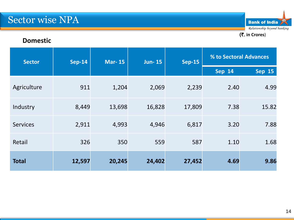**Bank of India** Relationship beyond banking (`. **in Crores**)

#### **Domestic**

| <b>Sep-14</b><br><b>Mar-15</b><br><b>Sector</b> | <b>Jun-15</b> | <b>Sep-15</b> | % to Sectoral Advances |        |        |        |
|-------------------------------------------------|---------------|---------------|------------------------|--------|--------|--------|
|                                                 |               |               |                        |        | Sep 14 | Sep 15 |
| Agriculture                                     | 911           | 1,204         | 2,069                  | 2,239  | 2.40   | 4.99   |
| Industry                                        | 8,449         | 13,698        | 16,828                 | 17,809 | 7.38   | 15.82  |
| <b>Services</b>                                 | 2,911         | 4,993         | 4,946                  | 6,817  | 3.20   | 7.88   |
| Retail                                          | 326           | 350           | 559                    | 587    | 1.10   | 1.68   |
| <b>Total</b>                                    | 12,597        | 20,245        | 24,402                 | 27,452 | 4.69   | 9.86   |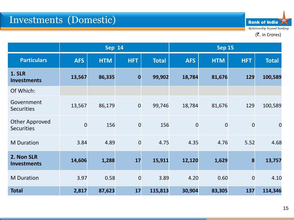**Bank of India** Relationship beyond banking

|                                            | <b>Sep 14</b>  |            |                |              | <b>Sep 15</b>  |                |                  |                |  |
|--------------------------------------------|----------------|------------|----------------|--------------|----------------|----------------|------------------|----------------|--|
| <b>Particulars</b>                         | <b>AFS</b>     | <b>HTM</b> | <b>HFT</b>     | <b>Total</b> | <b>AFS</b>     | <b>HTM</b>     | <b>HFT</b>       | <b>Total</b>   |  |
| <b>1. SLR</b><br><b>Investments</b>        | 13,567         | 86,335     | $\mathbf 0$    | 99,902       | 18,784         | 81,676         | 129              | 100,589        |  |
| Of Which:                                  |                |            |                |              |                |                |                  |                |  |
| Government<br><b>Securities</b>            | 13,567         | 86,179     | $\overline{0}$ | 99,746       | 18,784         | 81,676         | 129              | 100,589        |  |
| <b>Other Approved</b><br><b>Securities</b> | $\overline{0}$ | 156        | $\overline{0}$ | 156          | $\overline{0}$ | $\overline{0}$ | $\overline{0}$   | $\overline{0}$ |  |
| <b>M</b> Duration                          | 3.84           | 4.89       | $\overline{0}$ | 4.75         | 4.35           | 4.76           | 5.52             | 4.68           |  |
| 2. Non SLR<br><b>Investments</b>           | 14,606         | 1,288      | 17             | 15,911       | 12,120         | 1,629          | $\boldsymbol{8}$ | 13,757         |  |
| <b>M</b> Duration                          | 3.97           | 0.58       | $\overline{0}$ | 3.89         | 4.20           | 0.60           | $\overline{0}$   | 4.10           |  |
| <b>Total</b>                               | 2,817          | 87,623     | 17             | 115,813      | 30,904         | 83,305         | 137              | 114,346        |  |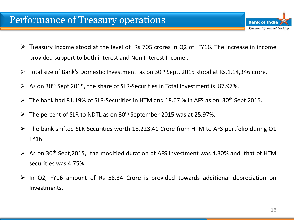### Performance of Treasury operations

- $\triangleright$  Treasury Income stood at the level of Rs 705 crores in Q2 of FY16. The increase in income provided support to both interest and Non Interest Income .
- $\triangleright$  Total size of Bank's Domestic Investment as on 30<sup>th</sup> Sept, 2015 stood at Rs.1,14,346 crore.
- $\triangleright$  As on 30<sup>th</sup> Sept 2015, the share of SLR-Securities in Total Investment is 87.97%.
- $\triangleright$  The bank had 81.19% of SLR-Securities in HTM and 18.67 % in AFS as on 30<sup>th</sup> Sept 2015.
- $\triangleright$  The percent of SLR to NDTL as on 30<sup>th</sup> September 2015 was at 25.97%.
- $\triangleright$  The bank shifted SLR Securities worth 18,223.41 Crore from HTM to AFS portfolio during Q1 FY16.
- $\triangleright$  As on 30<sup>th</sup> Sept, 2015, the modified duration of AFS Investment was 4.30% and that of HTM securities was 4.75%.
- $\triangleright$  In Q2, FY16 amount of Rs 58.34 Crore is provided towards additional depreciation on Investments.

**Bank of India** 

Relationship beyond banking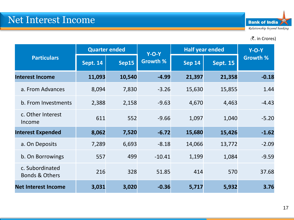|                                              |                 | <b>Quarter ended</b> | $Y-O-Y$         | <b>Half year ended</b> | $Y-O-Y$         |                 |
|----------------------------------------------|-----------------|----------------------|-----------------|------------------------|-----------------|-----------------|
| <b>Particulars</b>                           | <b>Sept. 14</b> | Sep15                | <b>Growth %</b> | <b>Sep 14</b>          | <b>Sept. 15</b> | <b>Growth %</b> |
| <b>Interest Income</b>                       | 11,093          | 10,540               | $-4.99$         | 21,397                 | 21,358          | $-0.18$         |
| a. From Advances                             | 8,094           | 7,830                | $-3.26$         | 15,630                 | 15,855          | 1.44            |
| b. From Investments                          | 2,388           | 2,158                | $-9.63$         | 4,670                  | 4,463           | $-4.43$         |
| c. Other Interest<br>Income                  | 611             | 552                  | $-9.66$         | 1,097                  | 1,040           | $-5.20$         |
| <b>Interest Expended</b>                     | 8,062           | 7,520                | $-6.72$         | 15,680                 | 15,426          | $-1.62$         |
| a. On Deposits                               | 7,289           | 6,693                | $-8.18$         | 14,066                 | 13,772          | $-2.09$         |
| b. On Borrowings                             | 557             | 499                  | $-10.41$        | 1,199                  | 1,084           | $-9.59$         |
| c. Subordinated<br><b>Bonds &amp; Others</b> | 216             | 328                  | 51.85           | 414                    | 570             | 37.68           |
| <b>Net Interest Income</b>                   | 3,031           | 3,020                | $-0.36$         | 5,717                  | 5,932           | 3.76            |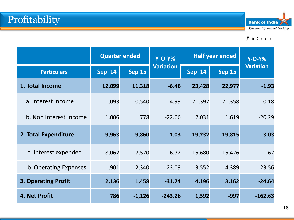

|                            | <b>Quarter ended</b> |               | $Y-O-Y\%$        | <b>Half year ended</b> | $Y-O-Y\%$     |                  |
|----------------------------|----------------------|---------------|------------------|------------------------|---------------|------------------|
| <b>Particulars</b>         | <b>Sep 14</b>        | <b>Sep 15</b> | <b>Variation</b> | <b>Sep 14</b>          | <b>Sep 15</b> | <b>Variation</b> |
| 1. Total Income            | 12,099               | 11,318        | $-6.46$          | 23,428                 | 22,977        | $-1.93$          |
| a. Interest Income         | 11,093               | 10,540        | $-4.99$          | 21,397                 | 21,358        | $-0.18$          |
| b. Non Interest Income     | 1,006                | 778           | $-22.66$         | 2,031                  | 1,619         | $-20.29$         |
| 2. Total Expenditure       | 9,963                | 9,860         | $-1.03$          | 19,232                 | 19,815        | 3.03             |
| a. Interest expended       | 8,062                | 7,520         | $-6.72$          | 15,680                 | 15,426        | $-1.62$          |
| b. Operating Expenses      | 1,901                | 2,340         | 23.09            | 3,552                  | 4,389         | 23.56            |
| <b>3. Operating Profit</b> | 2,136                | 1,458         | $-31.74$         | 4,196                  | 3,162         | $-24.64$         |
| 4. Net Profit              | 786                  | $-1,126$      | $-243.26$        | 1,592                  | $-997$        | $-162.63$        |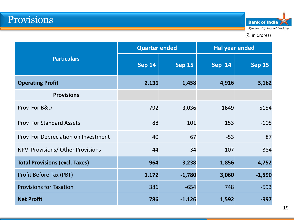**Bank of India** Relationship beyond banking

|                                       | <b>Quarter ended</b> |               | <b>Hal year ended</b> |               |  |
|---------------------------------------|----------------------|---------------|-----------------------|---------------|--|
| <b>Particulars</b>                    | <b>Sep 14</b>        | <b>Sep 15</b> | <b>Sep 14</b>         | <b>Sep 15</b> |  |
| <b>Operating Profit</b>               | 2,136                | 1,458         | 4,916                 | 3,162         |  |
| <b>Provisions</b>                     |                      |               |                       |               |  |
| Prov. For B&D                         | 792                  | 3,036         | 1649                  | 5154          |  |
| <b>Prov. For Standard Assets</b>      | 88                   | 101           | 153                   | $-105$        |  |
| Prov. For Depreciation on Investment  | 40                   | 67            | $-53$                 | 87            |  |
| NPV Provisions/Other Provisions       | 44                   | 34            | 107                   | $-384$        |  |
| <b>Total Provisions (excl. Taxes)</b> | 964                  | 3,238         | 1,856                 | 4,752         |  |
| Profit Before Tax (PBT)               | 1,172                | $-1,780$      | 3,060                 | $-1,590$      |  |
| <b>Provisions for Taxation</b>        | 386                  | $-654$        | 748                   | $-593$        |  |
| <b>Net Profit</b>                     | 786                  | $-1,126$      | 1,592                 | $-997$        |  |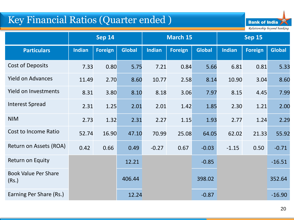# Key Financial Ratios (Quarter ended )



|                                      | <b>Sep 14</b> |                |               | March 15      |                |               | <b>Sep 15</b> |                |               |
|--------------------------------------|---------------|----------------|---------------|---------------|----------------|---------------|---------------|----------------|---------------|
| <b>Particulars</b>                   | <b>Indian</b> | <b>Foreign</b> | <b>Global</b> | <b>Indian</b> | <b>Foreign</b> | <b>Global</b> | <b>Indian</b> | <b>Foreign</b> | <b>Global</b> |
| <b>Cost of Deposits</b>              | 7.33          | 0.80           | 5.75          | 7.21          | 0.84           | 5.66          | 6.81          | 0.81           | 5.33          |
| <b>Yield on Advances</b>             | 11.49         | 2.70           | 8.60          | 10.77         | 2.58           | 8.14          | 10.90         | 3.04           | 8.60          |
| <b>Yield on Investments</b>          | 8.31          | 3.80           | 8.10          | 8.18          | 3.06           | 7.97          | 8.15          | 4.45           | 7.99          |
| <b>Interest Spread</b>               | 2.31          | 1.25           | 2.01          | 2.01          | 1.42           | 1.85          | 2.30          | 1.21           | 2.00          |
| <b>NIM</b>                           | 2.73          | 1.32           | 2.31          | 2.27          | 1.15           | 1.93          | 2.77          | 1.24           | 2.29          |
| <b>Cost to Income Ratio</b>          | 52.74         | 16.90          | 47.10         | 70.99         | 25.08          | 64.05         | 62.02         | 21.33          | 55.92         |
| Return on Assets (ROA)               | 0.42          | 0.66           | 0.49          | $-0.27$       | 0.67           | $-0.03$       | $-1.15$       | 0.50           | $-0.71$       |
| Return on Equity                     |               |                | 12.21         |               |                | $-0.85$       |               |                | $-16.51$      |
| <b>Book Value Per Share</b><br>(Rs.) |               |                | 406.44        |               |                | 398.02        |               |                | 352.64        |
| Earning Per Share (Rs.)              |               |                | 12.24         |               |                | $-0.87$       |               |                | $-16.90$      |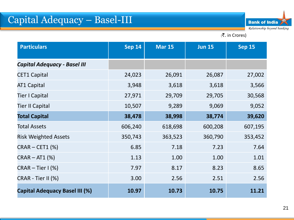| <b>Particulars</b>                    | <b>Sep 14</b><br><b>Mar 15</b> |         | <b>Jun 15</b> | <b>Sep 15</b> |  |
|---------------------------------------|--------------------------------|---------|---------------|---------------|--|
| <b>Capital Adequacy - Basel III</b>   |                                |         |               |               |  |
| <b>CET1 Capital</b>                   | 24,023                         | 26,091  | 26,087        | 27,002        |  |
| AT1 Capital                           | 3,948                          | 3,618   | 3,618         | 3,566         |  |
| <b>Tier I Capital</b>                 | 27,971                         | 29,709  | 29,705        | 30,568        |  |
| <b>Tier II Capital</b>                | 10,507                         | 9,289   | 9,069         | 9,052         |  |
| <b>Total Capital</b>                  | 38,478                         | 38,998  | 38,774        | 39,620        |  |
| <b>Total Assets</b>                   | 606,240                        | 618,698 | 600,208       | 607,195       |  |
| <b>Risk Weighted Assets</b>           | 350,743                        | 363,523 | 360,790       | 353,452       |  |
| <b>CRAR - CET1 (%)</b>                | 6.85                           | 7.18    | 7.23          | 7.64          |  |
| $CRAR - AT1$ (%)                      | 1.13                           | 1.00    | 1.00          | 1.01          |  |
| $CRAR - Tier I$ (%)                   | 7.97                           | 8.17    | 8.23          | 8.65          |  |
| CRAR - Tier II (%)                    | 3.00                           | 2.56    | 2.51          | 2.56          |  |
| <b>Capital Adequacy Basel III (%)</b> | 10.97                          | 10.73   | 10.75         | 11.21         |  |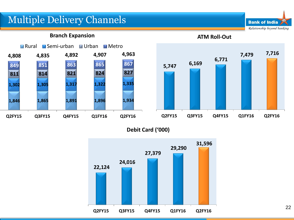# Multiple Delivery Channels

**Branch Expansion**



**ATM Roll-Out 5,747 6,169 6,771 7,479 7,716 Q2FY15 Q3FY15 Q4FY15 Q1FY16 Q2FY16**

**Bank of India** 

Relationship beyond banking

**Debit Card ('000)** 

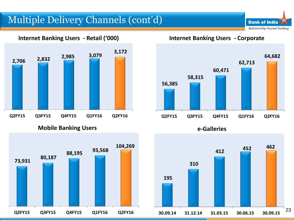# Multiple Delivery Channels (cont'd)

**2,706 2,832 2,985 3,079 3,172 Q2FY15 Q3FY15 Q4FY15 Q1FY16 Q2FY16**

**Internet Banking Users - Retail ('000)**

**Mobile Banking Users**



**Internet Banking Users - Corporate**

**Bank of India** Relationship beyond banking



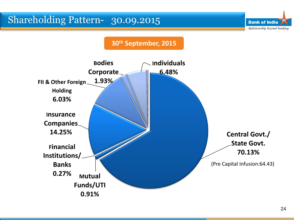

**Mutual** 

**Banks**

**0.27%**

**Funds/UTI**

**0.91%**

<sup>(</sup>Pre Capital Infusion:64.43)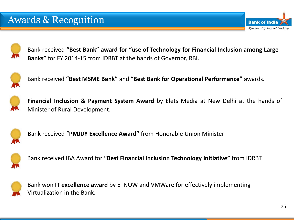

Bank received **"Best Bank" award for "use of Technology for Financial Inclusion among Large Banks"** for FY 2014-15 from IDRBT at the hands of Governor, RBI.



Bank received **"Best MSME Bank"** and **"Best Bank for Operational Performance"** awards.



**Financial Inclusion & Payment System Award** by Elets Media at New Delhi at the hands of Minister of Rural Development.



Bank received "**PMJDY Excellence Award"** from Honorable Union Minister



Bank received IBA Award for **"Best Financial Inclusion Technology Initiative"** from IDRBT.



Bank won **IT excellence award** by ETNOW and VMWare for effectively implementing Virtualization in the Bank.

**Bank of India** 

Relationship beyond banking